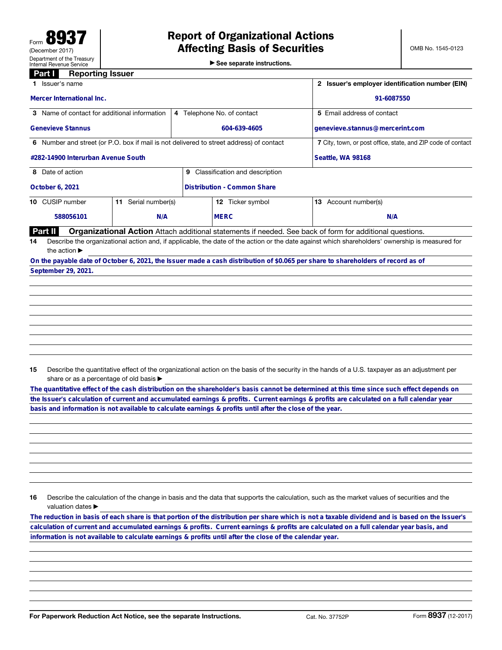▶ See separate instructions.

## **Part I** Reporting Issuer

|                                                                                         | Issuer's name                                                                                                                                   |                        | Issuer's employer identification number (EIN) |                                    |                                                                                                                                  |  |  |  |
|-----------------------------------------------------------------------------------------|-------------------------------------------------------------------------------------------------------------------------------------------------|------------------------|-----------------------------------------------|------------------------------------|----------------------------------------------------------------------------------------------------------------------------------|--|--|--|
|                                                                                         | <b>Mercer International Inc.</b>                                                                                                                |                        | 91-6087550                                    |                                    |                                                                                                                                  |  |  |  |
|                                                                                         | 3 Name of contact for additional information                                                                                                    |                        |                                               | 4 Telephone No. of contact         | 5 Email address of contact                                                                                                       |  |  |  |
| <b>Genevieve Stannus</b>                                                                |                                                                                                                                                 |                        | 604-639-4605                                  |                                    | genevieve.stannus@mercerint.com                                                                                                  |  |  |  |
| 6 Number and street (or P.O. box if mail is not delivered to street address) of contact |                                                                                                                                                 |                        |                                               |                                    | 7 City, town, or post office, state, and ZIP code of contact                                                                     |  |  |  |
| #282-14900 Interurban Avenue South                                                      |                                                                                                                                                 |                        |                                               |                                    | Seattle, WA 98168                                                                                                                |  |  |  |
|                                                                                         | 8 Date of action<br>Classification and description<br>9                                                                                         |                        |                                               |                                    |                                                                                                                                  |  |  |  |
|                                                                                         | <b>October 6, 2021</b>                                                                                                                          |                        |                                               | <b>Distribution - Common Share</b> |                                                                                                                                  |  |  |  |
|                                                                                         | 10 CUSIP number                                                                                                                                 | Serial number(s)<br>11 |                                               | Ticker symbol<br>12                | Account number(s)<br>13                                                                                                          |  |  |  |
|                                                                                         | N/A<br>588056101                                                                                                                                |                        | <b>MERC</b>                                   | N/A                                |                                                                                                                                  |  |  |  |
|                                                                                         | <b>Part II</b>                                                                                                                                  |                        |                                               |                                    | <b>Organizational Action</b> Attach additional statements if needed. See back of form for additional questions.                  |  |  |  |
| 14                                                                                      | Describe the organizational action and, if applicable, the date of the action or the date against which shareholders' ownership is measured for |                        |                                               |                                    |                                                                                                                                  |  |  |  |
|                                                                                         | the action $\blacktriangleright$                                                                                                                |                        |                                               |                                    |                                                                                                                                  |  |  |  |
|                                                                                         |                                                                                                                                                 |                        |                                               |                                    | On the payable date of October 6, 2021, the Issuer made a cash distribution of \$0.065 per share to shareholders of record as of |  |  |  |
|                                                                                         | September 29, 2021.                                                                                                                             |                        |                                               |                                    |                                                                                                                                  |  |  |  |

15 Describe the quantitative effect of the organizational action on the basis of the security in the hands of a U.S. taxpayer as an adjustment per share or as a percentage of old basis  $\blacktriangleright$ 

**The quantitative effect of the cash distribution on the shareholder's basis cannot be determined at this time since such effect depends on** the Issuer's calculation of current and accumulated earnings & profits. Current earnings & profits are calculated on a full calendar year<br>basis and information is not available to calculate earnings & profits until after

16 Describe the calculation of the change in basis and the data that supports the calculation, such as the market values of securities and the valuation dates ▶

**calculation of current and accumulated earnings & profits. Current earnings & profits are calculated on a full calendar year basis, and information is not available to calculate earnings & profits until after the close of the calendar year.**